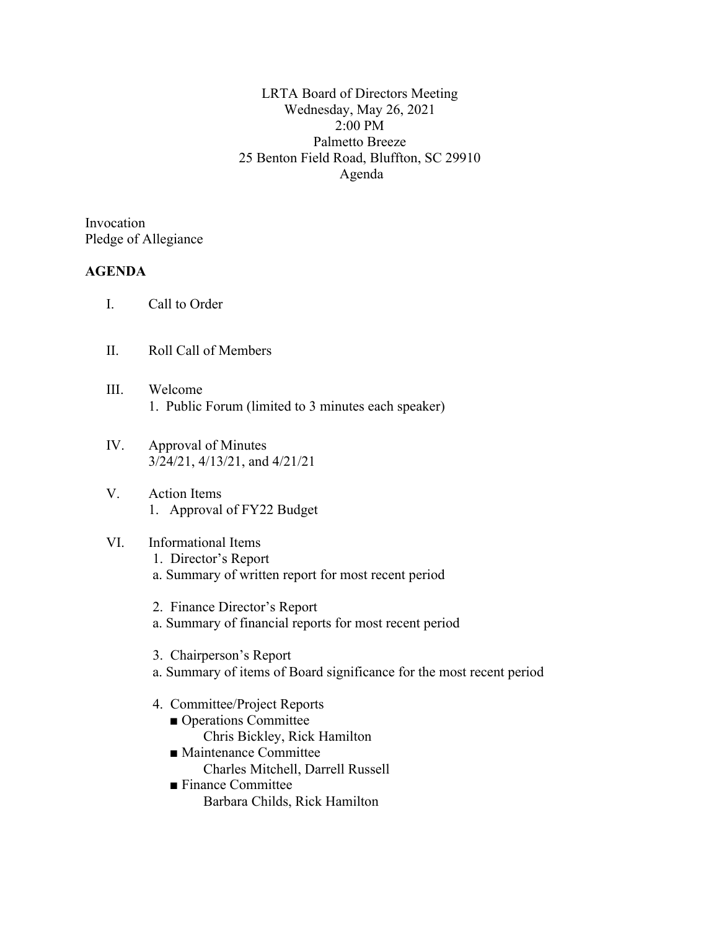LRTA Board of Directors Meeting Wednesday, May 26, 2021 2:00 PM Palmetto Breeze 25 Benton Field Road, Bluffton, SC 29910 Agenda

Invocation Pledge of Allegiance

## **AGENDA**

- I. Call to Order
- II. Roll Call of Members
- III. Welcome 1. Public Forum (limited to 3 minutes each speaker)
- IV. Approval of Minutes 3/24/21, 4/13/21, and 4/21/21
- V. Action Items 1. Approval of FY22 Budget
- VI. Informational Items 1. Director's Report a. Summary of written report for most recent period
	- 2. Finance Director's Report
	- a. Summary of financial reports for most recent period
	- 3. Chairperson's Report
	- a. Summary of items of Board significance for the most recent period
	- 4. Committee/Project Reports
		- Operations Committee
		- Chris Bickley, Rick Hamilton ■ Maintenance Committee
			- Charles Mitchell, Darrell Russell
		- Finance Committee Barbara Childs, Rick Hamilton